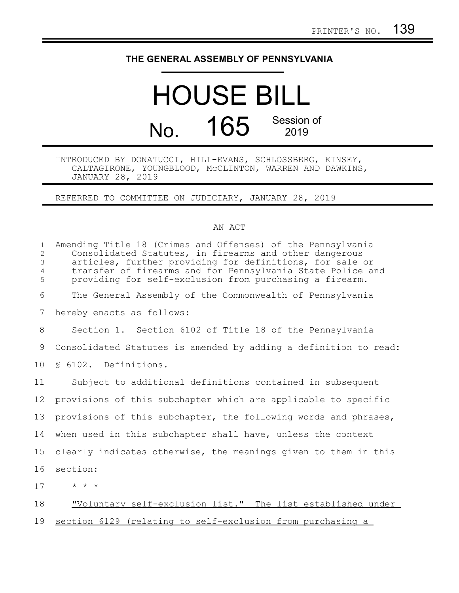## **THE GENERAL ASSEMBLY OF PENNSYLVANIA**

## HOUSE BILL No. 165 Session of

## INTRODUCED BY DONATUCCI, HILL-EVANS, SCHLOSSBERG, KINSEY, CALTAGIRONE, YOUNGBLOOD, McCLINTON, WARREN AND DAWKINS, JANUARY 28, 2019

REFERRED TO COMMITTEE ON JUDICIARY, JANUARY 28, 2019

## AN ACT

| $\mathbf{1}$<br>$\overline{2}$<br>$\mathsf 3$<br>$\overline{4}$<br>5 | Amending Title 18 (Crimes and Offenses) of the Pennsylvania<br>Consolidated Statutes, in firearms and other dangerous<br>articles, further providing for definitions, for sale or<br>transfer of firearms and for Pennsylvania State Police and<br>providing for self-exclusion from purchasing a firearm. |
|----------------------------------------------------------------------|------------------------------------------------------------------------------------------------------------------------------------------------------------------------------------------------------------------------------------------------------------------------------------------------------------|
| 6                                                                    | The General Assembly of the Commonwealth of Pennsylvania                                                                                                                                                                                                                                                   |
| 7                                                                    | hereby enacts as follows:                                                                                                                                                                                                                                                                                  |
| 8                                                                    | Section 1. Section 6102 of Title 18 of the Pennsylvania                                                                                                                                                                                                                                                    |
| 9                                                                    | Consolidated Statutes is amended by adding a definition to read:                                                                                                                                                                                                                                           |
| 10 <sup>°</sup>                                                      | § 6102. Definitions.                                                                                                                                                                                                                                                                                       |
| 11                                                                   | Subject to additional definitions contained in subsequent                                                                                                                                                                                                                                                  |
| 12                                                                   | provisions of this subchapter which are applicable to specific                                                                                                                                                                                                                                             |
| 13                                                                   | provisions of this subchapter, the following words and phrases,                                                                                                                                                                                                                                            |
| 14                                                                   | when used in this subchapter shall have, unless the context                                                                                                                                                                                                                                                |
| 15                                                                   | clearly indicates otherwise, the meanings given to them in this                                                                                                                                                                                                                                            |
| 16                                                                   | section:                                                                                                                                                                                                                                                                                                   |
| 17                                                                   | $\star$ $\star$ $\star$                                                                                                                                                                                                                                                                                    |
| 18                                                                   | "Voluntary self-exclusion list." The list established under                                                                                                                                                                                                                                                |
| 19                                                                   | section 6129 (relating to self-exclusion from purchasing a                                                                                                                                                                                                                                                 |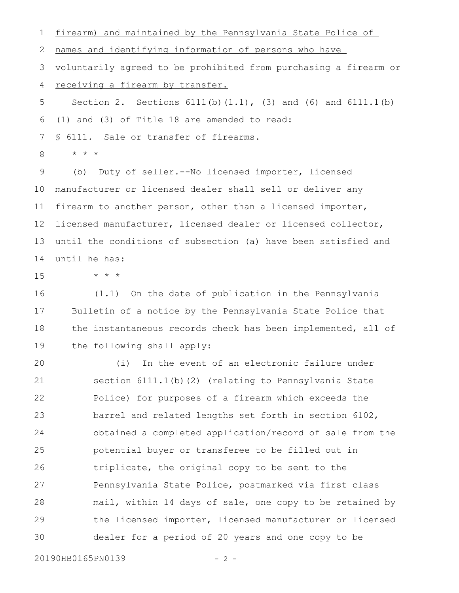firearm) and maintained by the Pennsylvania State Police of 1

names and identifying information of persons who have 2

voluntarily agreed to be prohibited from purchasing a firearm or 3

receiving a firearm by transfer. 4

Section 2. Sections 6111(b)(1.1), (3) and (6) and 6111.1(b) (1) and (3) of Title 18 are amended to read: § 6111. Sale or transfer of firearms. 5 6 7

\* \* \* 8

(b) Duty of seller.--No licensed importer, licensed manufacturer or licensed dealer shall sell or deliver any firearm to another person, other than a licensed importer, licensed manufacturer, licensed dealer or licensed collector, until the conditions of subsection (a) have been satisfied and until he has: 9 10 11 12 13 14

15

\* \* \*

(1.1) On the date of publication in the Pennsylvania Bulletin of a notice by the Pennsylvania State Police that the instantaneous records check has been implemented, all of the following shall apply: 16 17 18 19

(i) In the event of an electronic failure under section 6111.1(b)(2) (relating to Pennsylvania State Police) for purposes of a firearm which exceeds the barrel and related lengths set forth in section 6102, obtained a completed application/record of sale from the potential buyer or transferee to be filled out in triplicate, the original copy to be sent to the Pennsylvania State Police, postmarked via first class mail, within 14 days of sale, one copy to be retained by the licensed importer, licensed manufacturer or licensed dealer for a period of 20 years and one copy to be 20 21 22 23 24 25 26 27 28 29 30

20190HB0165PN0139 - 2 -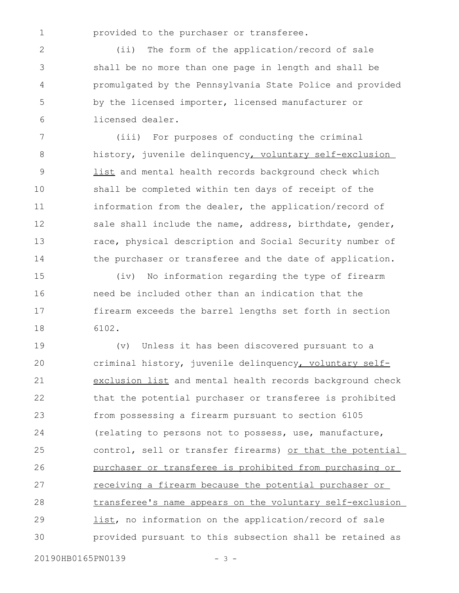1

provided to the purchaser or transferee.

(ii) The form of the application/record of sale shall be no more than one page in length and shall be promulgated by the Pennsylvania State Police and provided by the licensed importer, licensed manufacturer or licensed dealer. 2 3 4 5 6

(iii) For purposes of conducting the criminal history, juvenile delinquency, voluntary self-exclusion list and mental health records background check which shall be completed within ten days of receipt of the information from the dealer, the application/record of sale shall include the name, address, birthdate, gender, race, physical description and Social Security number of the purchaser or transferee and the date of application. 7 8 9 10 11 12 13 14

(iv) No information regarding the type of firearm need be included other than an indication that the firearm exceeds the barrel lengths set forth in section 6102. 15 16 17 18

(v) Unless it has been discovered pursuant to a criminal history, juvenile delinquency, voluntary selfexclusion list and mental health records background check that the potential purchaser or transferee is prohibited from possessing a firearm pursuant to section 6105 (relating to persons not to possess, use, manufacture, control, sell or transfer firearms) or that the potential purchaser or transferee is prohibited from purchasing or receiving a firearm because the potential purchaser or transferee's name appears on the voluntary self-exclusion list, no information on the application/record of sale provided pursuant to this subsection shall be retained as 19 20 21 22 23 24 25 26 27 28 29 30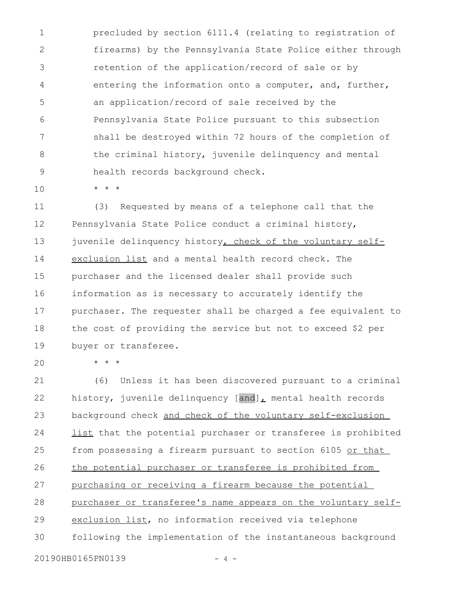precluded by section 6111.4 (relating to registration of firearms) by the Pennsylvania State Police either through retention of the application/record of sale or by entering the information onto a computer, and, further, an application/record of sale received by the Pennsylvania State Police pursuant to this subsection shall be destroyed within 72 hours of the completion of the criminal history, juvenile delinquency and mental health records background check. 1 2 3 4 5 6 7 8 9

\* \* \*

(3) Requested by means of a telephone call that the Pennsylvania State Police conduct a criminal history, juvenile delinquency history, check of the voluntary selfexclusion list and a mental health record check. The purchaser and the licensed dealer shall provide such information as is necessary to accurately identify the purchaser. The requester shall be charged a fee equivalent to the cost of providing the service but not to exceed \$2 per buyer or transferee. 11 12 13 14 15 16 17 18 19

20

10

\* \* \*

(6) Unless it has been discovered pursuant to a criminal history, juvenile delinquency  $[and]_L$  mental health records background check and check of the voluntary self-exclusion list that the potential purchaser or transferee is prohibited from possessing a firearm pursuant to section 6105 or that the potential purchaser or transferee is prohibited from purchasing or receiving a firearm because the potential purchaser or transferee's name appears on the voluntary selfexclusion list, no information received via telephone following the implementation of the instantaneous background 21 22 23 24 25 26 27 28 29 30

20190HB0165PN0139 - 4 -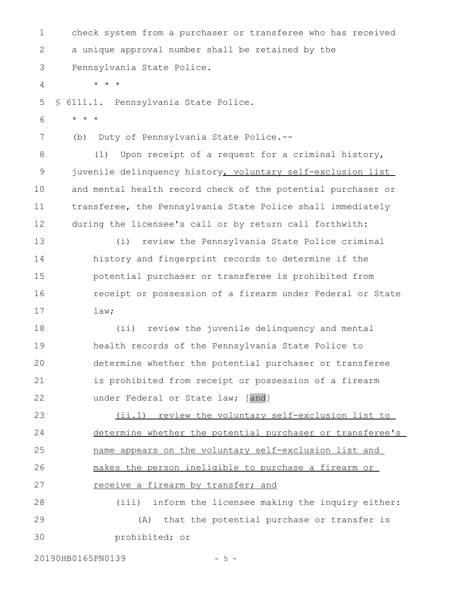check system from a purchaser or transferee who has received a unique approval number shall be retained by the Pennsylvania State Police. \* \* \* § 6111.1. Pennsylvania State Police. \* \* \* (b) Duty of Pennsylvania State Police.-- (1) Upon receipt of a request for a criminal history, juvenile delinquency history, voluntary self-exclusion list and mental health record check of the potential purchaser or transferee, the Pennsylvania State Police shall immediately during the licensee's call or by return call forthwith: (i) review the Pennsylvania State Police criminal history and fingerprint records to determine if the potential purchaser or transferee is prohibited from receipt or possession of a firearm under Federal or State law; (ii) review the juvenile delinquency and mental health records of the Pennsylvania State Police to determine whether the potential purchaser or transferee is prohibited from receipt or possession of a firearm under Federal or State law; [and] (ii.1) review the voluntary self-exclusion list to determine whether the potential purchaser or transferee's name appears on the voluntary self-exclusion list and makes the person ineligible to purchase a firearm or receive a firearm by transfer; and (iii) inform the licensee making the inquiry either: (A) that the potential purchase or transfer is prohibited; or 1 2 3 4 5 6 7 8 9 10 11 12 13 14 15 16 17 18 19 20 21 22 23 24 25 26 27 28 29 30

20190HB0165PN0139 - 5 -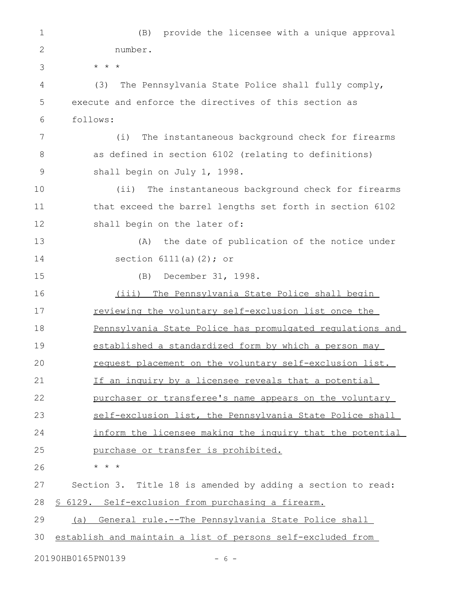(B) provide the licensee with a unique approval number. \* \* \* (3) The Pennsylvania State Police shall fully comply, execute and enforce the directives of this section as follows: (i) The instantaneous background check for firearms as defined in section 6102 (relating to definitions) shall begin on July 1, 1998. (ii) The instantaneous background check for firearms that exceed the barrel lengths set forth in section 6102 shall begin on the later of: (A) the date of publication of the notice under section  $6111(a)(2)$ ; or (B) December 31, 1998. (iii) The Pennsylvania State Police shall begin reviewing the voluntary self-exclusion list once the Pennsylvania State Police has promulgated regulations and established a standardized form by which a person may request placement on the voluntary self-exclusion list. If an inquiry by a licensee reveals that a potential purchaser or transferee's name appears on the voluntary self-exclusion list, the Pennsylvania State Police shall inform the licensee making the inquiry that the potential purchase or transfer is prohibited. \* \* \* Section 3. Title 18 is amended by adding a section to read: § 6129. Self-exclusion from purchasing a firearm. (a) General rule.--The Pennsylvania State Police shall establish and maintain a list of persons self-excluded from 20190HB0165PN0139 - 6 -1 2 3 4 5 6 7 8 9 10 11 12 13 14 15 16 17 18 19 20 21 22 23 24 25 26 27 28 29 30